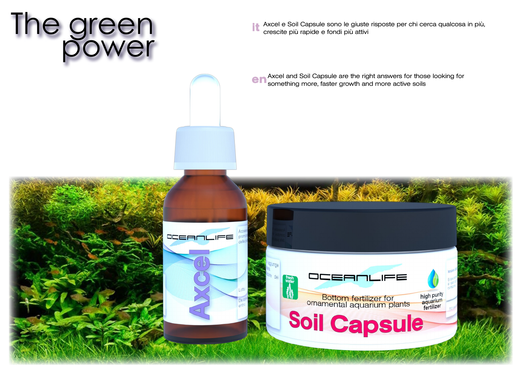## The green<br>power

Axcel e Soil Capsule sono le giuste risposte per chi cerca qualcosa in più, crescite più rapide e fondi più attivi it

Axcel and Soil Capsule are the right answers for those looking for something more, faster growth and more active soils en